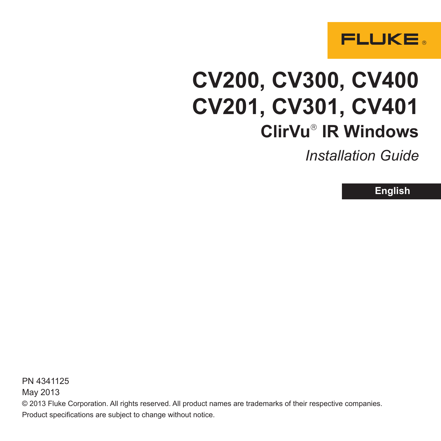

# **CV200, CV300, CV400 CV201, CV301, CV401 ClirVu IR Windows**

*Installation Guide*

**English**

PN 4341125 May 2013 © 2013 Fluke Corporation. All rights reserved. All product names are trademarks of their respective companies. Product specifications are subject to change without notice.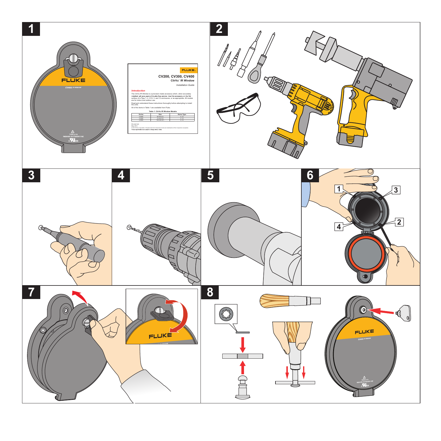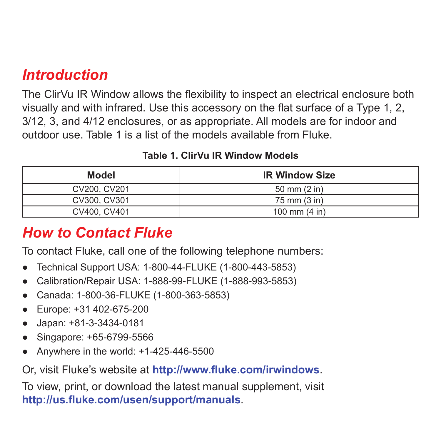### *Introduction*

The ClirVu IR Window allows the flexibility to inspect an electrical enclosure both visually and with infrared. Use this accessory on the flat surface of a Type 1, 2, 3/12, 3, and 4/12 enclosures, or as appropriate. All models are for indoor and outdoor use. Table 1 is a list of the models available from Fluke.

#### **Table 1. ClirVu IR Window Models**

| Model        | <b>IR Window Size</b>   |
|--------------|-------------------------|
| CV200, CV201 | 50 mm $(2 \infty)$      |
| CV300, CV301 | 75 mm (3 in)            |
| CV400, CV401 | 100 mm $(4 \text{ in})$ |

### *How to Contact Fluke*

To contact Fluke, call one of the following telephone numbers:

- **●** Technical Support USA: 1-800-44-FLUKE (1-800-443-5853)
- **●** Calibration/Repair USA: 1-888-99-FLUKE (1-888-993-5853)
- **●** Canada: 1-800-36-FLUKE (1-800-363-5853)
- **●** Europe: +31 402-675-200
- **●** Japan: +81-3-3434-0181
- **●** Singapore: +65-6799-5566
- **●** Anywhere in the world: +1-425-446-5500

Or, visit Fluke's website at **http://www.fluke.com/irwindows**.

To view, print, or download the latest manual supplement, visit **http://us.fluke.com/usen/support/manuals**.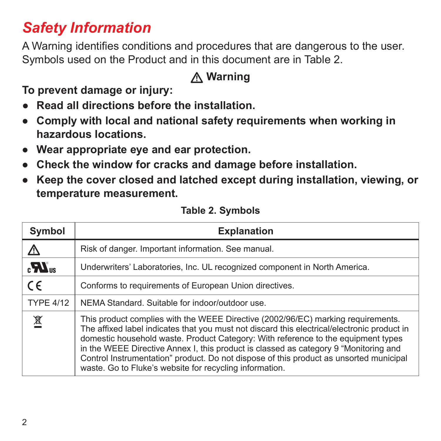# *Safety Information*

A Warning identifies conditions and procedures that are dangerous to the user. Symbols used on the Product and in this document are in Table 2.

### **Warning**

**To prevent damage or injury:**

- **● Read all directions before the installation.**
- **● Comply with local and national safety requirements when working in hazardous locations.**
- **● Wear appropriate eye and ear protection.**
- **● Check the window for cracks and damage before installation.**
- **● Keep the cover closed and latched except during installation, viewing, or temperature measurement.**

| Symbol                     | <b>Explanation</b>                                                                                                                                                                                                                                                                                                                                                                                                                                                                                                |  |
|----------------------------|-------------------------------------------------------------------------------------------------------------------------------------------------------------------------------------------------------------------------------------------------------------------------------------------------------------------------------------------------------------------------------------------------------------------------------------------------------------------------------------------------------------------|--|
| <u>/\</u>                  | Risk of danger. Important information. See manual.                                                                                                                                                                                                                                                                                                                                                                                                                                                                |  |
| $\mathbf{R}$ <sub>us</sub> | Underwriters' Laboratories, Inc. UL recognized component in North America.                                                                                                                                                                                                                                                                                                                                                                                                                                        |  |
| $\epsilon$                 | Conforms to requirements of European Union directives.                                                                                                                                                                                                                                                                                                                                                                                                                                                            |  |
| <b>TYPE 4/12</b>           | NEMA Standard. Suitable for indoor/outdoor use.                                                                                                                                                                                                                                                                                                                                                                                                                                                                   |  |
| 凰                          | This product complies with the WEEE Directive (2002/96/EC) marking requirements.<br>The affixed label indicates that you must not discard this electrical/electronic product in<br>domestic household waste. Product Category: With reference to the equipment types<br>in the WEEE Directive Annex I, this product is classed as category 9 "Monitoring and<br>Control Instrumentation" product. Do not dispose of this product as unsorted municipal<br>waste. Go to Fluke's website for recycling information. |  |

#### **Table 2. Symbols**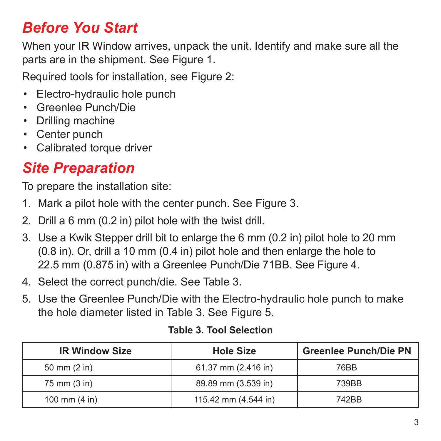# *Before You Start*

When your IR Window arrives, unpack the unit. Identify and make sure all the parts are in the shipment. See Figure 1.

Required tools for installation, see Figure 2:

- Electro-hydraulic hole punch
- Greenlee Punch/Die
- Drilling machine
- Center punch
- Calibrated torque driver

### *Site Preparation*

To prepare the installation site:

- 1. Mark a pilot hole with the center punch. See Figure 3.
- 2. Drill a 6 mm (0.2 in) pilot hole with the twist drill.
- 3. Use a Kwik Stepper drill bit to enlarge the 6 mm (0.2 in) pilot hole to 20 mm (0.8 in). Or, drill a 10 mm (0.4 in) pilot hole and then enlarge the hole to 22.5 mm (0.875 in) with a Greenlee Punch/Die 71BB. See Figure 4.
- 4. Select the correct punch/die. See Table 3.
- 5. Use the Greenlee Punch/Die with the Electro-hydraulic hole punch to make the hole diameter listed in Table 3. See Figure 5.

| <b>IR Window Size</b>   | <b>Hole Size</b>     | <b>Greenlee Punch/Die PN</b> |
|-------------------------|----------------------|------------------------------|
| 50 mm (2 in)            | 61.37 mm (2.416 in)  | 76BB                         |
| 75 mm (3 in)            | 89.89 mm (3.539 in)  | 739BB                        |
| 100 mm $(4 \text{ in})$ | 115.42 mm (4.544 in) | 742BB                        |

#### **Table 3. Tool Selection**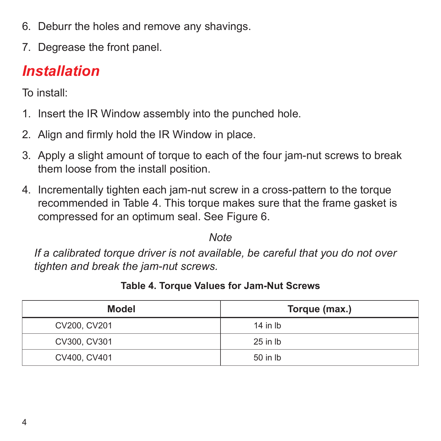- 6. Deburr the holes and remove any shavings.
- 7. Degrease the front panel.

# *Installation*

To install:

- 1. Insert the IR Window assembly into the punched hole.
- 2. Align and firmly hold the IR Window in place.
- 3. Apply a slight amount of torque to each of the four jam-nut screws to break them loose from the install position.
- 4. Incrementally tighten each jam-nut screw in a cross-pattern to the torque recommended in Table 4. This torque makes sure that the frame gasket is compressed for an optimum seal. See Figure 6.

*Note*

*If a calibrated torque driver is not available, be careful that you do not over tighten and break the jam-nut screws.*

| Model        | Torque (max.) |
|--------------|---------------|
| CV200, CV201 | $14$ in $lb$  |
| CV300, CV301 | 25 in lb      |
| CV400, CV401 | 50 in lb      |

**Table 4. Torque Values for Jam-Nut Screws**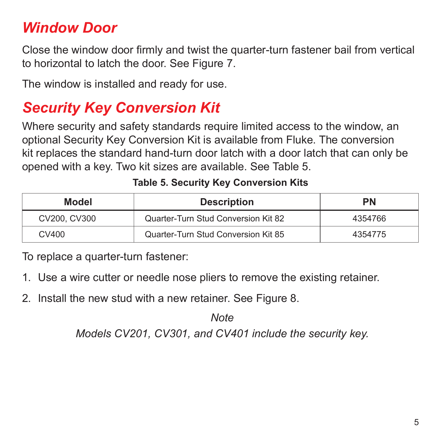# *Window Door*

Close the window door firmly and twist the quarter-turn fastener bail from vertical to horizontal to latch the door. See Figure 7.

The window is installed and ready for use.

## *Security Key Conversion Kit*

Where security and safety standards require limited access to the window, an optional Security Key Conversion Kit is available from Fluke. The conversion kit replaces the standard hand-turn door latch with a door latch that can only be opened with a key. Two kit sizes are available. See Table 5.

| Model        | <b>Description</b>                  | <b>PN</b> |
|--------------|-------------------------------------|-----------|
| CV200, CV300 | Quarter-Turn Stud Conversion Kit 82 | 4354766   |
| CV400        | Quarter-Turn Stud Conversion Kit 85 | 4354775   |

#### **Table 5. Security Key Conversion Kits**

To replace a quarter-turn fastener:

- 1. Use a wire cutter or needle nose pliers to remove the existing retainer.
- 2. Install the new stud with a new retainer. See Figure 8.

*Note Models CV201, CV301, and CV401 include the security key.*